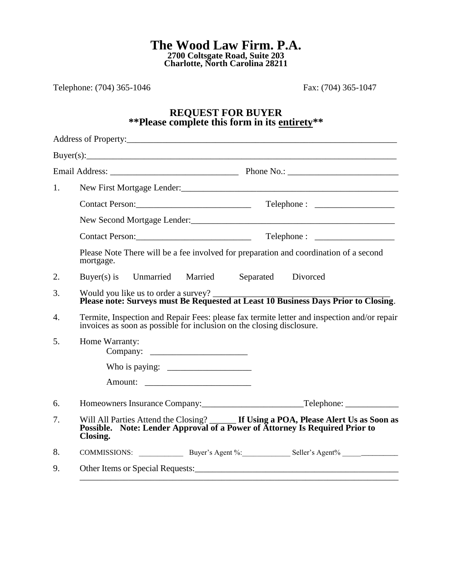**The Wood Law Firm. P.A. 2700 Coltsgate Road, Suite 203 Charlotte, North Carolina 28211**

Telephone: (704) 365-1046 Fax: (704) 365-1047

## **REQUEST FOR BUYER \*\*Please complete this form in its entirety\*\***

| 1. |                                                                                                                                                                                |
|----|--------------------------------------------------------------------------------------------------------------------------------------------------------------------------------|
|    |                                                                                                                                                                                |
|    |                                                                                                                                                                                |
|    |                                                                                                                                                                                |
|    | Please Note There will be a fee involved for preparation and coordination of a second<br>mortgage.                                                                             |
| 2. | Separated Divorced<br>Buyer(s) is Unmarried Married                                                                                                                            |
| 3. | Would you like us to order a survey?<br>Please note: Surveys must Be Requested at Least 10 Business Days Prior to Closing.                                                     |
| 4. | Termite, Inspection and Repair Fees: please fax termite letter and inspection and/or repair invoices as soon as possible for inclusion on the closing disclosure.              |
| 5. | Home Warranty:                                                                                                                                                                 |
|    |                                                                                                                                                                                |
|    |                                                                                                                                                                                |
| 6. |                                                                                                                                                                                |
| 7. | Will All Parties Attend the Closing? <b>If Using a POA, Please Alert Us as Soon as Possible.</b> Note: Lender Approval of a Power of Attorney Is Required Prior to<br>Closing. |
| 8. | COMMISSIONS: Buyer's Agent %: Seller's Agent % __________________________________                                                                                              |
| 9. |                                                                                                                                                                                |